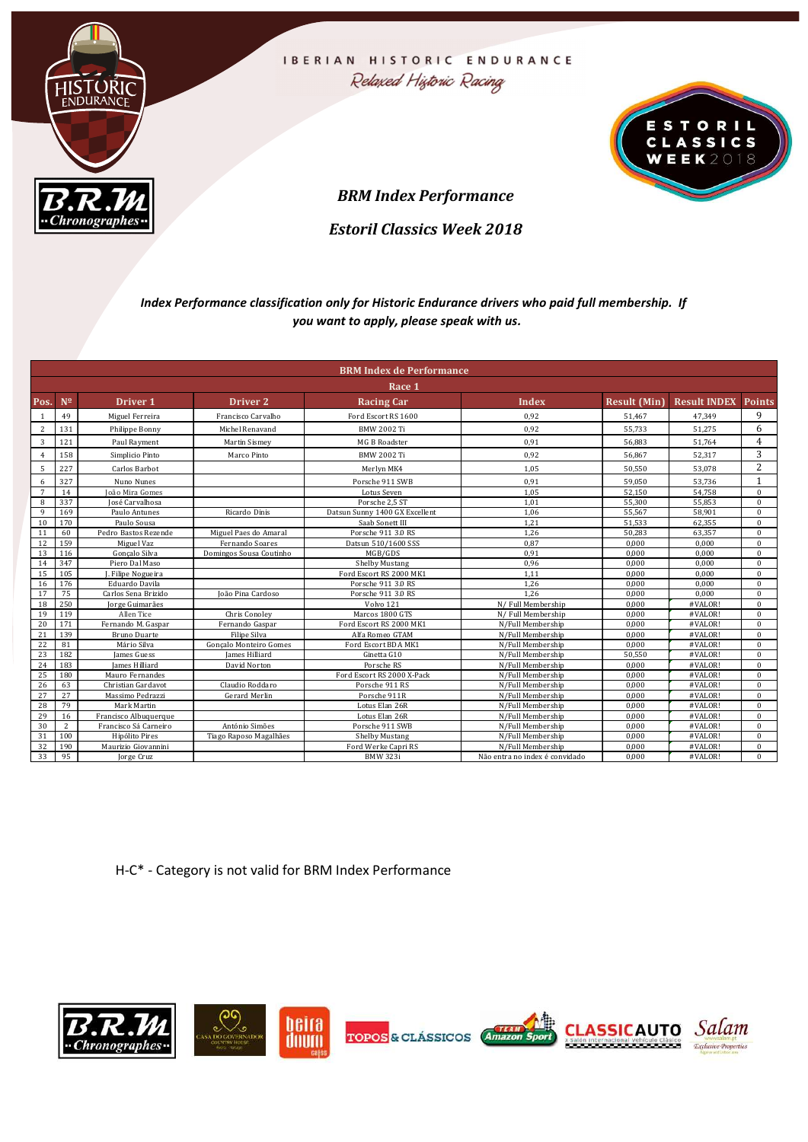

|                     |                                                                                                                                                                                                                                                                                                                                                                                                                | $\overline{\mathcal{B.R.M}}$           |                                        | <b>BRM Index Performance</b>                                                                                                                  |                                        |                  |                                  |                      |
|---------------------|----------------------------------------------------------------------------------------------------------------------------------------------------------------------------------------------------------------------------------------------------------------------------------------------------------------------------------------------------------------------------------------------------------------|----------------------------------------|----------------------------------------|-----------------------------------------------------------------------------------------------------------------------------------------------|----------------------------------------|------------------|----------------------------------|----------------------|
|                     |                                                                                                                                                                                                                                                                                                                                                                                                                |                                        |                                        | <b>Estoril Classics Week 2018</b>                                                                                                             |                                        |                  |                                  |                      |
|                     |                                                                                                                                                                                                                                                                                                                                                                                                                |                                        |                                        | Index Performance classification only for Historic Endurance drivers who paid full membership. If<br>you want to apply, please speak with us. |                                        |                  |                                  |                      |
|                     |                                                                                                                                                                                                                                                                                                                                                                                                                |                                        |                                        | <b>BRM Index de Performance</b>                                                                                                               |                                        |                  |                                  |                      |
|                     |                                                                                                                                                                                                                                                                                                                                                                                                                |                                        |                                        | Race 1                                                                                                                                        |                                        |                  |                                  |                      |
| Pos. $N^2$          |                                                                                                                                                                                                                                                                                                                                                                                                                | Driver 1                               | Driver 2                               | <b>Racing Car</b>                                                                                                                             | Index                                  |                  | Result (Min) Result INDEX Points |                      |
| 1                   | 49                                                                                                                                                                                                                                                                                                                                                                                                             | Miguel Ferreira                        | Francisco Carvalho                     | Ford Escort RS 1600                                                                                                                           | 0,92                                   | 51,467           | 47,349                           | 9                    |
| $\overline{2}$      | 131                                                                                                                                                                                                                                                                                                                                                                                                            | Philippe Bonny                         | Michel Renavand                        | <b>BMW 2002 Ti</b>                                                                                                                            | 0,92                                   | 55,733           | 51,275                           | 6<br>$\overline{4}$  |
| $\overline{3}$<br>4 | 121<br>158                                                                                                                                                                                                                                                                                                                                                                                                     | Paul Rayment<br>Simplicio Pinto        | <b>Martin Sismey</b><br>Marco Pinto    | MG B Roadster<br><b>BMW 2002 Ti</b>                                                                                                           | 0,91<br>0,92                           | 56,883<br>56,867 | 51,764<br>52,317                 | 3                    |
| $5\overline{)}$     | 227                                                                                                                                                                                                                                                                                                                                                                                                            | Carlos Barbot                          |                                        | Merlyn MK4                                                                                                                                    | 1,05                                   | 50,550           | 53,078                           | 2                    |
|                     | 327                                                                                                                                                                                                                                                                                                                                                                                                            | Nuno Nunes                             |                                        | Porsche 911 SWB                                                                                                                               | 0,91                                   | 59,050           | 53,736                           | 1                    |
| $\frac{6}{7}$       | 14                                                                                                                                                                                                                                                                                                                                                                                                             | João Mira Gomes                        |                                        | Lotus Seven                                                                                                                                   | 1,05                                   | 52,150           | 54,758                           | $\bf{0}$             |
| 8                   | 337                                                                                                                                                                                                                                                                                                                                                                                                            | José Carvalhosa                        |                                        | Porsche 2,5 ST                                                                                                                                | 1,01                                   | 55,300           | 55,853                           | $\bf{0}$             |
| 9<br>10             | 169<br>170                                                                                                                                                                                                                                                                                                                                                                                                     | Paulo Antunes<br>Paulo Sousa           | Ricardo Dinis                          | Datsun Sunny 1400 GX Excellent<br>Saab Sonett III                                                                                             | 1,06<br>1,21                           | 55,567<br>51,533 | 58,901<br>62,355                 | $\bf{0}$<br>$\bf{0}$ |
| 11                  | 60                                                                                                                                                                                                                                                                                                                                                                                                             | Pedro Bastos Rezende                   | Miguel Paes do Amaral                  | Porsche 911 3.0 RS                                                                                                                            | 1,26                                   | 50,283           | 63,357                           | $\bf{0}$             |
| 12                  | 159                                                                                                                                                                                                                                                                                                                                                                                                            | Miguel Vaz                             | Fernando Soares                        | Datsun 510/1600 SSS                                                                                                                           | 0,87                                   | 0,000            | 0,000                            | $\bf{0}$             |
| 13<br>14            | 116<br>347                                                                                                                                                                                                                                                                                                                                                                                                     | Gonçalo Silva<br>Piero Dal Maso        | Domingos Sousa Coutinho                | MGB/GDS<br>Shelby Mustang                                                                                                                     | 0,91<br>0,96                           | 0,000<br>0,000   | 0,000<br>0,000                   | $\bf{0}$<br>$\bf{0}$ |
|                     | $15$ 105                                                                                                                                                                                                                                                                                                                                                                                                       | J. Filipe Nogueira                     |                                        | Ford Escort RS 2000 MK1                                                                                                                       | 1,11                                   | 0,000            | 0,000                            | $\bf{0}$             |
| 16                  | 176                                                                                                                                                                                                                                                                                                                                                                                                            | Eduardo Davila                         |                                        | Porsche 911 3.0 RS                                                                                                                            | 1,26                                   | 0,000            | 0,000                            | $\bf{0}$             |
| 17<br>18            | 75<br>250                                                                                                                                                                                                                                                                                                                                                                                                      | Carlos Sena Brizido<br>Jorge Guimarães | João Pina Cardoso                      | Porsche 911 3.0 RS<br>Volvo 121                                                                                                               | 1,26<br>N/Full Membership              | 0,000<br>0,000   | 0,000<br>#VALOR!                 | $\bf{0}$<br>$\bf{0}$ |
| 19                  | 119                                                                                                                                                                                                                                                                                                                                                                                                            | Allen Tice                             | Chris Conoley                          | Marcos 1800 GTS                                                                                                                               | N/Full Membership                      | 0,000            | #VALOR!                          | $\bf{0}$             |
| 20<br>21            | 171<br>139                                                                                                                                                                                                                                                                                                                                                                                                     | Fernando M. Gaspar<br>Bruno Duarte     | Fernando Gaspar                        | Ford Escort RS 2000 MK1<br>Alfa Romeo GTAM                                                                                                    | N/Full Membership<br>N/Full Membership | 0,000<br>0,000   | #VALOR!<br>#VALOR!               | $\bf{0}$<br>$\bf{0}$ |
| 22                  | 81                                                                                                                                                                                                                                                                                                                                                                                                             | Mário Silva                            | Filipe Silva<br>Gonçalo Monteiro Gomes | Ford Escort BDA MK1                                                                                                                           | N/Full Membership                      | 0,000            | #VALOR!                          | $\bf{0}$             |
| 23                  | 182                                                                                                                                                                                                                                                                                                                                                                                                            | James Guess                            | James Hilliard                         | Ginetta G10                                                                                                                                   | N/Full Membership                      | 50,550           | #VALOR!                          | $\bf{0}$             |
| 24<br>25            | 183<br>180                                                                                                                                                                                                                                                                                                                                                                                                     | James Hilliard<br>Mauro Fernandes      | David Norton                           | Porsche RS<br>Ford Escort RS 2000 X-Pack                                                                                                      | N/Full Membership<br>N/Full Membership | 0,000<br>0,000   | #VALOR!<br>#VALOR!               | $\bf{0}$<br>$\bf{0}$ |
| 26                  | 63                                                                                                                                                                                                                                                                                                                                                                                                             | Christian Gardavot                     | Claudio Roddaro                        | Porsche 911 RS                                                                                                                                | N/Full Membership                      | 0,000            | #VALOR!                          | $\bf{0}$             |
| 27                  | 27                                                                                                                                                                                                                                                                                                                                                                                                             | Massimo Pedrazzi                       | Gerard Merlin                          | Porsche 911R                                                                                                                                  | N/Full Membership                      | 0,000            | #VALOR!                          | $\mathbf{0}$         |
| 28                  | 79                                                                                                                                                                                                                                                                                                                                                                                                             | Mark Martin<br>Francisco Albuquerque   |                                        | Lotus Elan 26R<br>Lotus Elan 26R                                                                                                              | N/Full Membership<br>N/Full Membership | 0.000<br>0,000   | #VALOR!<br>#VALOR!               | $\Omega$<br>$\bf{0}$ |
|                     | $\begin{array}{@{}c@{\hspace{1em}}c@{\hspace{1em}}c@{\hspace{1em}}c@{\hspace{1em}}c@{\hspace{1em}}c@{\hspace{1em}}c@{\hspace{1em}}c@{\hspace{1em}}c@{\hspace{1em}}c@{\hspace{1em}}c@{\hspace{1em}}c@{\hspace{1em}}c@{\hspace{1em}}c@{\hspace{1em}}c@{\hspace{1em}}c@{\hspace{1em}}c@{\hspace{1em}}c@{\hspace{1em}}c@{\hspace{1em}}c@{\hspace{1em}}c@{\hspace{1em}}c@{\hspace{1em}}c@{\hspace{1em}}c@{\hspace{$ | Francisco Sá Carneiro                  | António Simões                         | Porsche 911 SWB                                                                                                                               | N/Full Membership                      | 0,000            | #VALOR!                          | $\bf{0}$             |
|                     |                                                                                                                                                                                                                                                                                                                                                                                                                | Hipólito Pires                         | Tiago Raposo Magalhães                 | Shelby Mustang                                                                                                                                | N/Full Membership                      | 0,000            | #VALOR!                          | $\mathbf{0}$         |
|                     |                                                                                                                                                                                                                                                                                                                                                                                                                | Maurizio Giovannini                    |                                        | Ford Werke Capri RS                                                                                                                           | N/Full Membership                      | 0,000<br>0,000   | #VALOR!<br>#VALOR!               | $\mathbf{0}$         |

H-C\* - Category is not valid for BRM Index Performance